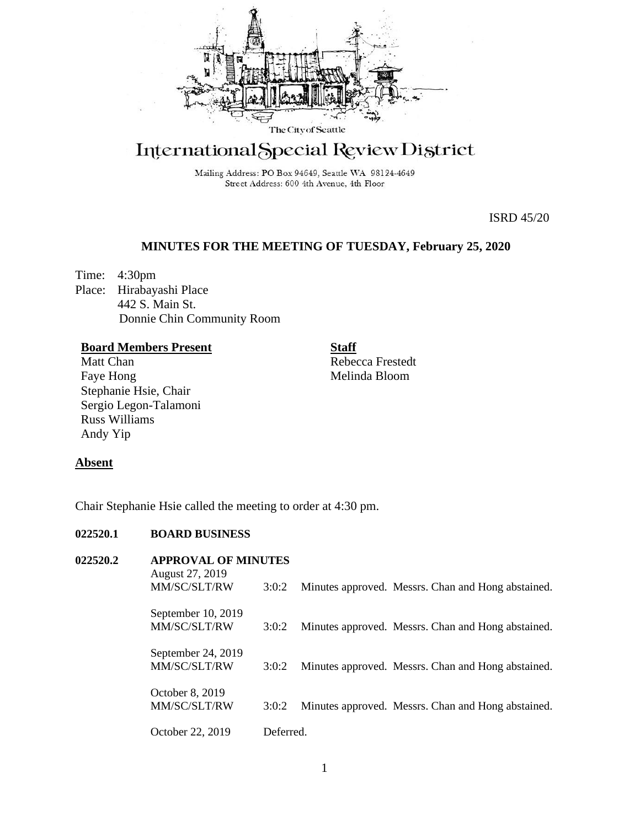

# International Special Review District

Mailing Address: PO Box 94649, Seattle WA 98124-4649 Street Address: 600 4th Avenue, 4th Floor

ISRD 45/20

# **MINUTES FOR THE MEETING OF TUESDAY, February 25, 2020**

Time: 4:30pm Place: Hirabayashi Place 442 S. Main St. Donnie Chin Community Room

## **Board Members Present**

Matt Chan Faye Hong Stephanie Hsie, Chair Sergio Legon-Talamoni Russ Williams Andy Yip

**Staff**

Rebecca Frestedt Melinda Bloom

## **Absent**

Chair Stephanie Hsie called the meeting to order at 4:30 pm.

## **022520.1 BOARD BUSINESS**

| 022520.2 | <b>APPROVAL OF MINUTES</b><br>August 27, 2019 |           |                                                    |  |
|----------|-----------------------------------------------|-----------|----------------------------------------------------|--|
|          | MM/SC/SLT/RW                                  | 3:0:2     | Minutes approved. Messrs. Chan and Hong abstained. |  |
|          | September 10, 2019<br>MM/SC/SLT/RW            | 3:0:2     | Minutes approved. Messrs. Chan and Hong abstained. |  |
|          | September 24, 2019<br>MM/SC/SLT/RW            | 3:0:2     | Minutes approved. Messrs. Chan and Hong abstained. |  |
|          | October 8, 2019<br>MM/SC/SLT/RW               | 3:0:2     | Minutes approved. Messrs. Chan and Hong abstained. |  |
|          | October 22, 2019                              | Deferred. |                                                    |  |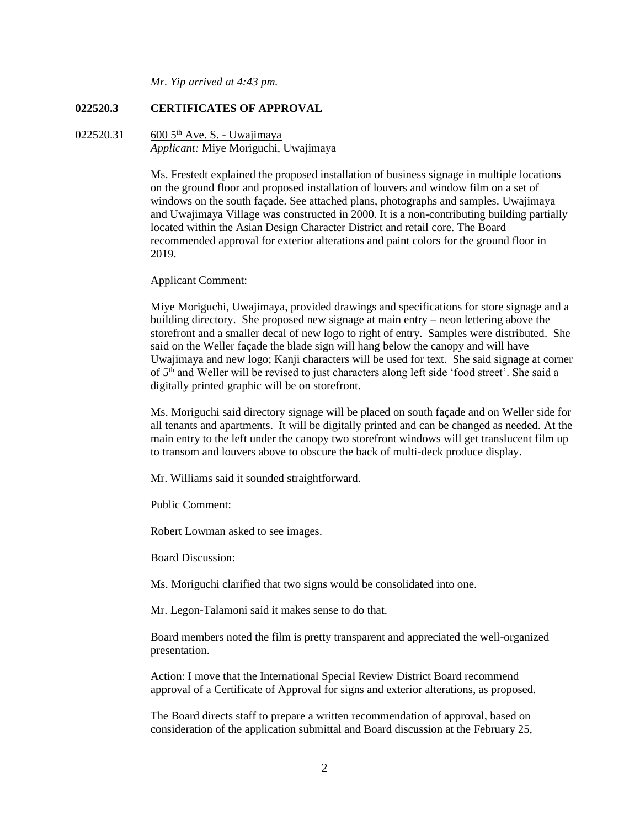*Mr. Yip arrived at 4:43 pm.*

### **022520.3 CERTIFICATES OF APPROVAL**

022520.31 600  $5<sup>th</sup>$  Ave. S. - Uwajimaya *Applicant:* Miye Moriguchi, Uwajimaya

> Ms. Frestedt explained the proposed installation of business signage in multiple locations on the ground floor and proposed installation of louvers and window film on a set of windows on the south façade. See attached plans, photographs and samples. Uwajimaya and Uwajimaya Village was constructed in 2000. It is a non-contributing building partially located within the Asian Design Character District and retail core. The Board recommended approval for exterior alterations and paint colors for the ground floor in 2019.

#### Applicant Comment:

Miye Moriguchi, Uwajimaya, provided drawings and specifications for store signage and a building directory. She proposed new signage at main entry – neon lettering above the storefront and a smaller decal of new logo to right of entry. Samples were distributed. She said on the Weller façade the blade sign will hang below the canopy and will have Uwajimaya and new logo; Kanji characters will be used for text. She said signage at corner of 5<sup>th</sup> and Weller will be revised to just characters along left side 'food street'. She said a digitally printed graphic will be on storefront.

Ms. Moriguchi said directory signage will be placed on south façade and on Weller side for all tenants and apartments. It will be digitally printed and can be changed as needed. At the main entry to the left under the canopy two storefront windows will get translucent film up to transom and louvers above to obscure the back of multi-deck produce display.

Mr. Williams said it sounded straightforward.

Public Comment:

Robert Lowman asked to see images.

Board Discussion:

Ms. Moriguchi clarified that two signs would be consolidated into one.

Mr. Legon-Talamoni said it makes sense to do that.

Board members noted the film is pretty transparent and appreciated the well-organized presentation.

Action: I move that the International Special Review District Board recommend approval of a Certificate of Approval for signs and exterior alterations, as proposed.

The Board directs staff to prepare a written recommendation of approval, based on consideration of the application submittal and Board discussion at the February 25,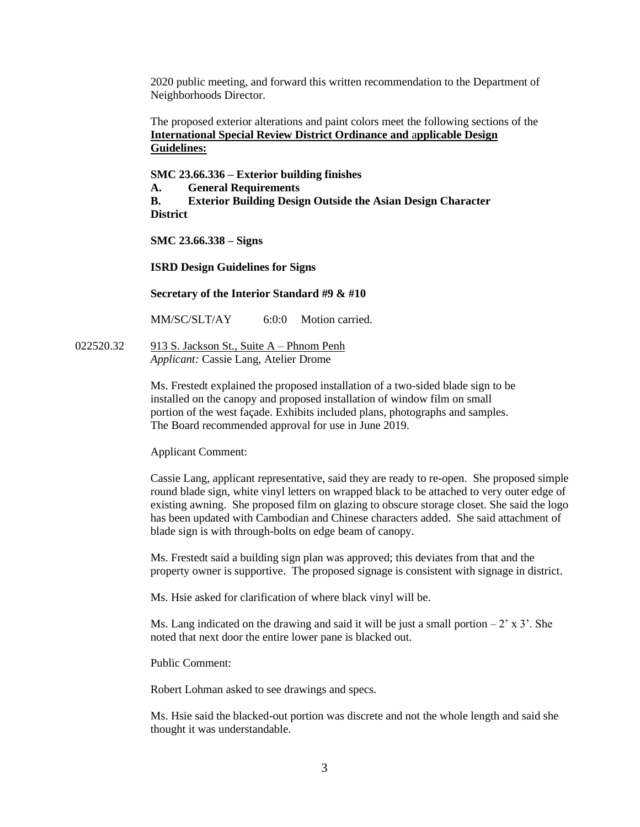2020 public meeting, and forward this written recommendation to the Department of Neighborhoods Director.

The proposed exterior alterations and paint colors meet the following sections of the **International Special Review District Ordinance and** a**pplicable Design Guidelines:**

**SMC 23.66.336 – Exterior building finishes**

**A. General Requirements**

**B. Exterior Building Design Outside the Asian Design Character District**

**SMC 23.66.338 – Signs**

**ISRD Design Guidelines for Signs**

**Secretary of the Interior Standard #9 & #10**

MM/SC/SLT/AY 6:0:0 Motion carried.

022520.32 913 S. Jackson St., Suite A – Phnom Penh *Applicant:* Cassie Lang, Atelier Drome

> Ms. Frestedt explained the proposed installation of a two-sided blade sign to be installed on the canopy and proposed installation of window film on small portion of the west façade. Exhibits included plans, photographs and samples. The Board recommended approval for use in June 2019.

Applicant Comment:

Cassie Lang, applicant representative, said they are ready to re-open. She proposed simple round blade sign, white vinyl letters on wrapped black to be attached to very outer edge of existing awning. She proposed film on glazing to obscure storage closet. She said the logo has been updated with Cambodian and Chinese characters added. She said attachment of blade sign is with through-bolts on edge beam of canopy.

Ms. Frestedt said a building sign plan was approved; this deviates from that and the property owner is supportive. The proposed signage is consistent with signage in district.

Ms. Hsie asked for clarification of where black vinyl will be.

Ms. Lang indicated on the drawing and said it will be just a small portion  $-2' \times 3'$ . She noted that next door the entire lower pane is blacked out.

Public Comment:

Robert Lohman asked to see drawings and specs.

Ms. Hsie said the blacked-out portion was discrete and not the whole length and said she thought it was understandable.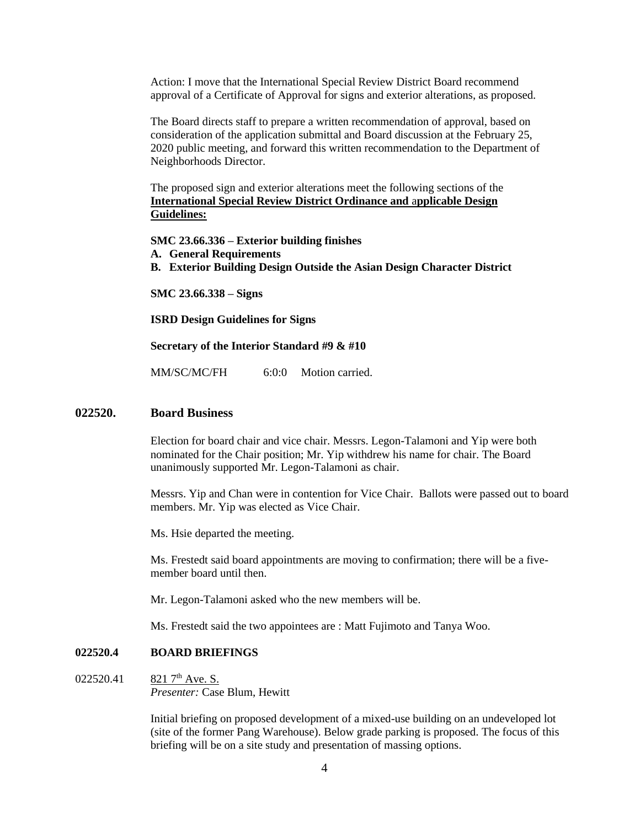Action: I move that the International Special Review District Board recommend approval of a Certificate of Approval for signs and exterior alterations, as proposed.

The Board directs staff to prepare a written recommendation of approval, based on consideration of the application submittal and Board discussion at the February 25, 2020 public meeting, and forward this written recommendation to the Department of Neighborhoods Director.

The proposed sign and exterior alterations meet the following sections of the **International Special Review District Ordinance and** a**pplicable Design Guidelines:**

**SMC 23.66.336 – Exterior building finishes A. General Requirements B. Exterior Building Design Outside the Asian Design Character District**

**SMC 23.66.338 – Signs**

**ISRD Design Guidelines for Signs**

#### **Secretary of the Interior Standard #9 & #10**

MM/SC/MC/FH 6:0:0 Motion carried.

#### **022520. Board Business**

Election for board chair and vice chair. Messrs. Legon-Talamoni and Yip were both nominated for the Chair position; Mr. Yip withdrew his name for chair. The Board unanimously supported Mr. Legon-Talamoni as chair.

Messrs. Yip and Chan were in contention for Vice Chair. Ballots were passed out to board members. Mr. Yip was elected as Vice Chair.

Ms. Hsie departed the meeting.

Ms. Frestedt said board appointments are moving to confirmation; there will be a fivemember board until then.

Mr. Legon-Talamoni asked who the new members will be.

Ms. Frestedt said the two appointees are : Matt Fujimoto and Tanya Woo.

#### **022520.4 BOARD BRIEFINGS**

022520.41 821  $7<sup>th</sup>$  Ave. S. *Presenter:* Case Blum, Hewitt

> Initial briefing on proposed development of a mixed-use building on an undeveloped lot (site of the former Pang Warehouse). Below grade parking is proposed. The focus of this briefing will be on a site study and presentation of massing options.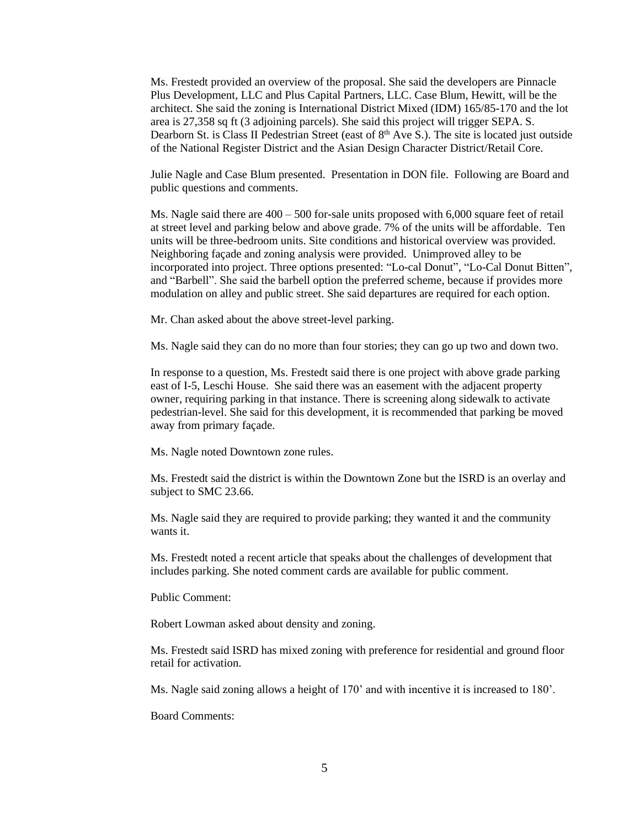Ms. Frestedt provided an overview of the proposal. She said the developers are Pinnacle Plus Development, LLC and Plus Capital Partners, LLC. Case Blum, Hewitt, will be the architect. She said the zoning is International District Mixed (IDM) 165/85-170 and the lot area is 27,358 sq ft (3 adjoining parcels). She said this project will trigger SEPA. S. Dearborn St. is Class II Pedestrian Street (east of 8<sup>th</sup> Ave S.). The site is located just outside of the National Register District and the Asian Design Character District/Retail Core.

Julie Nagle and Case Blum presented. Presentation in DON file. Following are Board and public questions and comments.

Ms. Nagle said there are  $400 - 500$  for-sale units proposed with  $6,000$  square feet of retail at street level and parking below and above grade. 7% of the units will be affordable. Ten units will be three-bedroom units. Site conditions and historical overview was provided. Neighboring façade and zoning analysis were provided. Unimproved alley to be incorporated into project. Three options presented: "Lo-cal Donut", "Lo-Cal Donut Bitten", and "Barbell". She said the barbell option the preferred scheme, because if provides more modulation on alley and public street. She said departures are required for each option.

Mr. Chan asked about the above street-level parking.

Ms. Nagle said they can do no more than four stories; they can go up two and down two.

In response to a question, Ms. Frestedt said there is one project with above grade parking east of I-5, Leschi House. She said there was an easement with the adjacent property owner, requiring parking in that instance. There is screening along sidewalk to activate pedestrian-level. She said for this development, it is recommended that parking be moved away from primary façade.

Ms. Nagle noted Downtown zone rules.

Ms. Frestedt said the district is within the Downtown Zone but the ISRD is an overlay and subject to SMC 23.66.

Ms. Nagle said they are required to provide parking; they wanted it and the community wants it.

Ms. Frestedt noted a recent article that speaks about the challenges of development that includes parking. She noted comment cards are available for public comment.

Public Comment:

Robert Lowman asked about density and zoning.

Ms. Frestedt said ISRD has mixed zoning with preference for residential and ground floor retail for activation.

Ms. Nagle said zoning allows a height of 170' and with incentive it is increased to 180'.

Board Comments: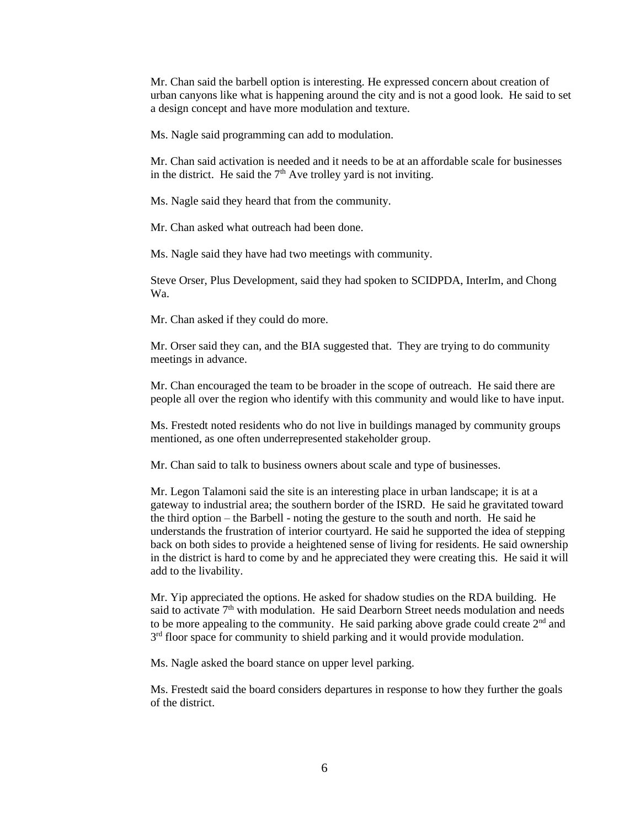Mr. Chan said the barbell option is interesting. He expressed concern about creation of urban canyons like what is happening around the city and is not a good look. He said to set a design concept and have more modulation and texture.

Ms. Nagle said programming can add to modulation.

Mr. Chan said activation is needed and it needs to be at an affordable scale for businesses in the district. He said the  $7<sup>th</sup>$  Ave trolley yard is not inviting.

Ms. Nagle said they heard that from the community.

Mr. Chan asked what outreach had been done.

Ms. Nagle said they have had two meetings with community.

Steve Orser, Plus Development, said they had spoken to SCIDPDA, InterIm, and Chong Wa.

Mr. Chan asked if they could do more.

Mr. Orser said they can, and the BIA suggested that. They are trying to do community meetings in advance.

Mr. Chan encouraged the team to be broader in the scope of outreach. He said there are people all over the region who identify with this community and would like to have input.

Ms. Frestedt noted residents who do not live in buildings managed by community groups mentioned, as one often underrepresented stakeholder group.

Mr. Chan said to talk to business owners about scale and type of businesses.

Mr. Legon Talamoni said the site is an interesting place in urban landscape; it is at a gateway to industrial area; the southern border of the ISRD. He said he gravitated toward the third option – the Barbell - noting the gesture to the south and north. He said he understands the frustration of interior courtyard. He said he supported the idea of stepping back on both sides to provide a heightened sense of living for residents. He said ownership in the district is hard to come by and he appreciated they were creating this. He said it will add to the livability.

Mr. Yip appreciated the options. He asked for shadow studies on the RDA building. He said to activate  $7<sup>th</sup>$  with modulation. He said Dearborn Street needs modulation and needs to be more appealing to the community. He said parking above grade could create 2<sup>nd</sup> and 3<sup>rd</sup> floor space for community to shield parking and it would provide modulation.

Ms. Nagle asked the board stance on upper level parking.

Ms. Frestedt said the board considers departures in response to how they further the goals of the district.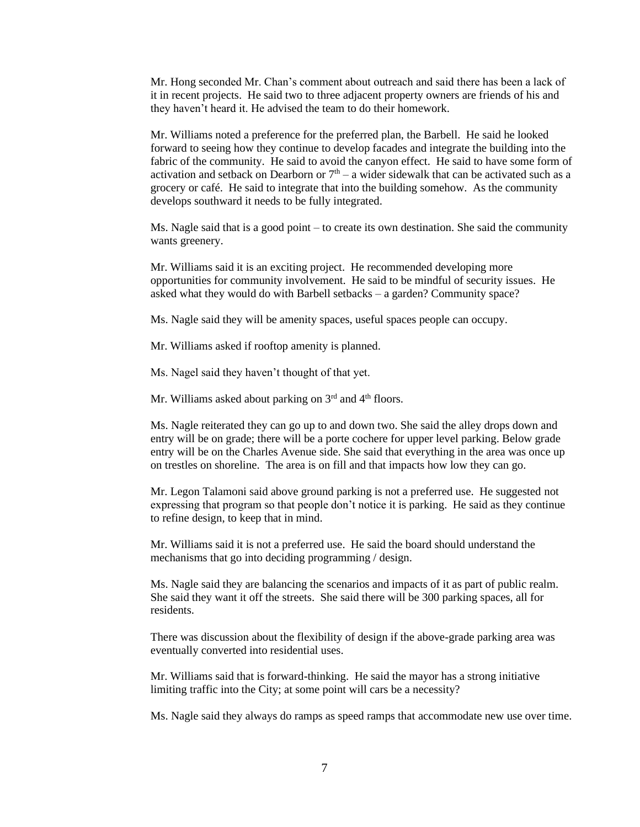Mr. Hong seconded Mr. Chan's comment about outreach and said there has been a lack of it in recent projects. He said two to three adjacent property owners are friends of his and they haven't heard it. He advised the team to do their homework.

Mr. Williams noted a preference for the preferred plan, the Barbell. He said he looked forward to seeing how they continue to develop facades and integrate the building into the fabric of the community. He said to avoid the canyon effect. He said to have some form of activation and setback on Dearborn or  $7<sup>th</sup> - a$  wider sidewalk that can be activated such as a grocery or café. He said to integrate that into the building somehow. As the community develops southward it needs to be fully integrated.

Ms. Nagle said that is a good point – to create its own destination. She said the community wants greenery.

Mr. Williams said it is an exciting project. He recommended developing more opportunities for community involvement. He said to be mindful of security issues. He asked what they would do with Barbell setbacks – a garden? Community space?

Ms. Nagle said they will be amenity spaces, useful spaces people can occupy.

Mr. Williams asked if rooftop amenity is planned.

Ms. Nagel said they haven't thought of that yet.

Mr. Williams asked about parking on  $3<sup>rd</sup>$  and  $4<sup>th</sup>$  floors.

Ms. Nagle reiterated they can go up to and down two. She said the alley drops down and entry will be on grade; there will be a porte cochere for upper level parking. Below grade entry will be on the Charles Avenue side. She said that everything in the area was once up on trestles on shoreline. The area is on fill and that impacts how low they can go.

Mr. Legon Talamoni said above ground parking is not a preferred use. He suggested not expressing that program so that people don't notice it is parking. He said as they continue to refine design, to keep that in mind.

Mr. Williams said it is not a preferred use. He said the board should understand the mechanisms that go into deciding programming / design.

Ms. Nagle said they are balancing the scenarios and impacts of it as part of public realm. She said they want it off the streets. She said there will be 300 parking spaces, all for residents.

There was discussion about the flexibility of design if the above-grade parking area was eventually converted into residential uses.

Mr. Williams said that is forward-thinking. He said the mayor has a strong initiative limiting traffic into the City; at some point will cars be a necessity?

Ms. Nagle said they always do ramps as speed ramps that accommodate new use over time.